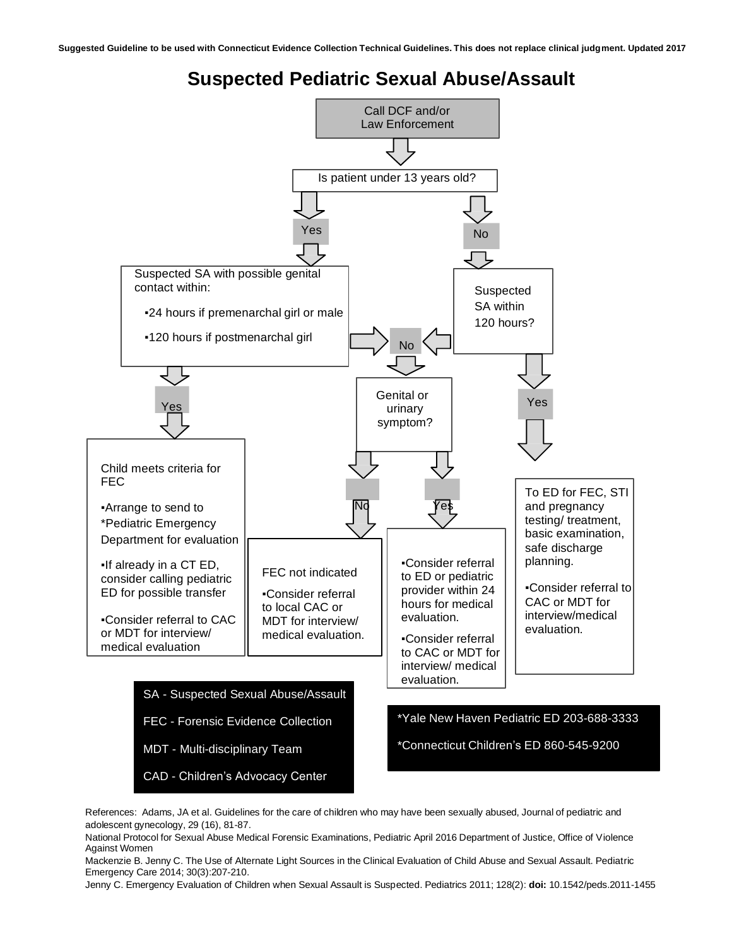**Suggested Guideline to be used with Connecticut Evidence Collection Technical Guidelines. This does not replace clinical judgment. Updated 2017**

## **Suspected Pediatric Sexual Abuse/Assault**



References: Adams, JA et al. Guidelines for the care of children who may have been sexually abused, Journal of pediatric and adolescent gynecology, 29 (16), 81-87.

National Protocol for Sexual Abuse Medical Forensic Examinations, Pediatric April 2016 Department of Justice, Office of Violence Against Women

Mackenzie B. Jenny C. The Use of Alternate Light Sources in the Clinical Evaluation of Child Abuse and Sexual Assault. Pediatric Emergency Care 2014; 30(3):207-210.

Jenny C. Emergency Evaluation of Children when Sexual Assault is Suspected. Pediatrics 2011; 128(2): **doi:** 10.1542/peds.2011-1455